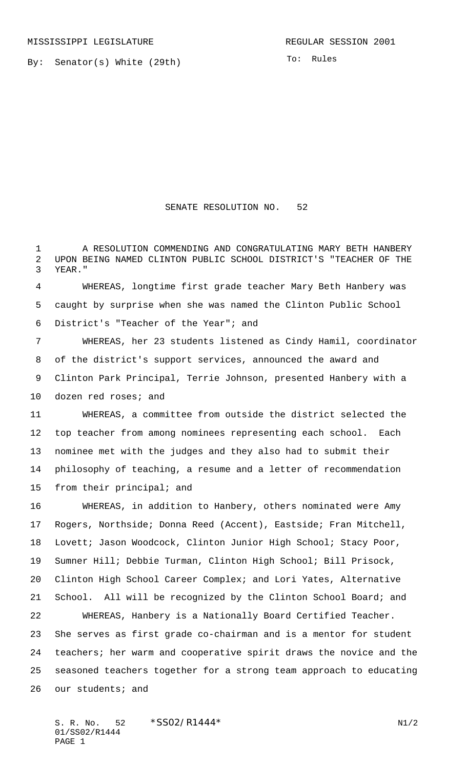By: Senator(s) White (29th)

To: Rules

## SENATE RESOLUTION NO. 52

1 A RESOLUTION COMMENDING AND CONGRATULATING MARY BETH HANBERY UPON BEING NAMED CLINTON PUBLIC SCHOOL DISTRICT'S "TEACHER OF THE YEAR."

 WHEREAS, longtime first grade teacher Mary Beth Hanbery was caught by surprise when she was named the Clinton Public School District's "Teacher of the Year"; and

 WHEREAS, her 23 students listened as Cindy Hamil, coordinator of the district's support services, announced the award and Clinton Park Principal, Terrie Johnson, presented Hanbery with a dozen red roses; and

 WHEREAS, a committee from outside the district selected the top teacher from among nominees representing each school. Each nominee met with the judges and they also had to submit their philosophy of teaching, a resume and a letter of recommendation from their principal; and

 WHEREAS, in addition to Hanbery, others nominated were Amy Rogers, Northside; Donna Reed (Accent), Eastside; Fran Mitchell, Lovett; Jason Woodcock, Clinton Junior High School; Stacy Poor, Sumner Hill; Debbie Turman, Clinton High School; Bill Prisock, Clinton High School Career Complex; and Lori Yates, Alternative School. All will be recognized by the Clinton School Board; and WHEREAS, Hanbery is a Nationally Board Certified Teacher. She serves as first grade co-chairman and is a mentor for student teachers; her warm and cooperative spirit draws the novice and the seasoned teachers together for a strong team approach to educating our students; and